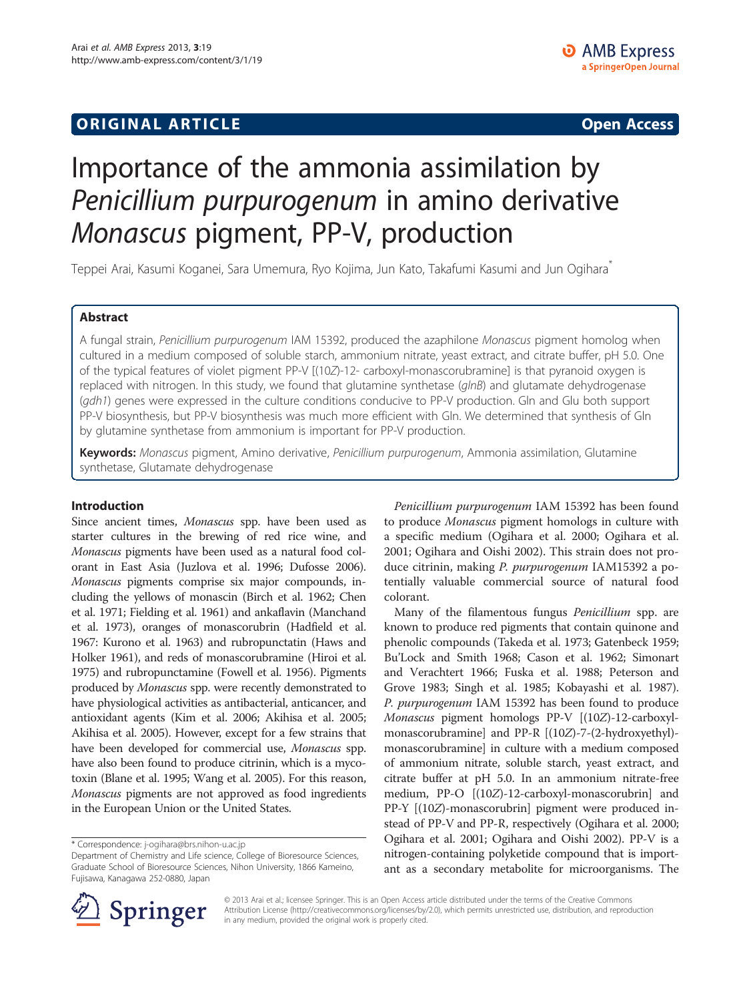## **ORIGINAL ARTICLE CONSERVANCE IN A LOCAL CONSERVANCE IN A LOCAL CONSERVANCE IN A LOCAL CONSERVANCE IN A LOCAL CONSERVANCE IN A LOCAL CONSERVANCE IN A LOCAL CONSERVANCE IN A LOCAL CONSERVANCE IN A LOCAL CONSERVANCE IN A L**

# Importance of the ammonia assimilation by Penicillium purpurogenum in amino derivative Monascus pigment, PP-V, production

Teppei Arai, Kasumi Koganei, Sara Umemura, Ryo Kojima, Jun Kato, Takafumi Kasumi and Jun Ogihara\*

## Abstract

A fungal strain, Penicillium purpurogenum IAM 15392, produced the azaphilone Monascus pigment homolog when cultured in a medium composed of soluble starch, ammonium nitrate, yeast extract, and citrate buffer, pH 5.0. One of the typical features of violet pigment PP-V [(10Z)-12- carboxyl-monascorubramine] is that pyranoid oxygen is replaced with nitrogen. In this study, we found that glutamine synthetase (glnB) and glutamate dehydrogenase (gdh1) genes were expressed in the culture conditions conducive to PP-V production. Gln and Glu both support PP-V biosynthesis, but PP-V biosynthesis was much more efficient with Gln. We determined that synthesis of Gln by glutamine synthetase from ammonium is important for PP-V production.

Keywords: Monascus pigment, Amino derivative, Penicillium purpurogenum, Ammonia assimilation, Glutamine synthetase, Glutamate dehydrogenase

#### Introduction

Since ancient times, Monascus spp. have been used as starter cultures in the brewing of red rice wine, and Monascus pigments have been used as a natural food colorant in East Asia (Juzlova et al. [1996](#page-6-0); Dufosse [2006](#page-6-0)). Monascus pigments comprise six major compounds, including the yellows of monascin (Birch et al. [1962](#page-6-0); Chen et al. [1971;](#page-6-0) Fielding et al. [1961](#page-6-0)) and ankaflavin (Manchand et al. [1973](#page-6-0)), oranges of monascorubrin (Hadfield et al. [1967:](#page-6-0) Kurono et al. [1963](#page-6-0)) and rubropunctatin (Haws and Holker [1961](#page-6-0)), and reds of monascorubramine (Hiroi et al. [1975\)](#page-6-0) and rubropunctamine (Fowell et al. [1956](#page-6-0)). Pigments produced by Monascus spp. were recently demonstrated to have physiological activities as antibacterial, anticancer, and antioxidant agents (Kim et al. [2006;](#page-6-0) Akihisa et al. [2005](#page-5-0); Akihisa et al. [2005\)](#page-5-0). However, except for a few strains that have been developed for commercial use, Monascus spp. have also been found to produce citrinin, which is a mycotoxin (Blane et al. [1995](#page-6-0); Wang et al. [2005\)](#page-6-0). For this reason, Monascus pigments are not approved as food ingredients in the European Union or the United States.

Penicillium purpurogenum IAM 15392 has been found to produce Monascus pigment homologs in culture with a specific medium (Ogihara et al. [2000](#page-6-0); Ogihara et al. [2001](#page-6-0); Ogihara and Oishi [2002\)](#page-6-0). This strain does not produce citrinin, making P. purpurogenum IAM15392 a potentially valuable commercial source of natural food colorant.

Many of the filamentous fungus Penicillium spp. are known to produce red pigments that contain quinone and phenolic compounds (Takeda et al. [1973;](#page-6-0) Gatenbeck [1959](#page-6-0); Bu'Lock and Smith [1968;](#page-6-0) Cason et al. [1962](#page-6-0); Simonart and Verachtert [1966](#page-6-0); Fuska et al. [1988;](#page-6-0) Peterson and Grove [1983;](#page-6-0) Singh et al. [1985](#page-6-0); Kobayashi et al. [1987](#page-6-0)). P. purpurogenum IAM 15392 has been found to produce Monascus pigment homologs PP-V [(10Z)-12-carboxylmonascorubramine] and PP-R [(10Z)-7-(2-hydroxyethyl) monascorubramine] in culture with a medium composed of ammonium nitrate, soluble starch, yeast extract, and citrate buffer at pH 5.0. In an ammonium nitrate-free medium, PP-O [(10Z)-12-carboxyl-monascorubrin] and PP-Y [(10Z)-monascorubrin] pigment were produced instead of PP-V and PP-R, respectively (Ogihara et al. [2000](#page-6-0); Ogihara et al. [2001](#page-6-0); Ogihara and Oishi [2002](#page-6-0)). PP-V is a nitrogen-containing polyketide compound that is important as a secondary metabolite for microorganisms. The



© 2013 Arai et al.; licensee Springer. This is an Open Access article distributed under the terms of the Creative Commons Attribution License [\(http://creativecommons.org/licenses/by/2.0\)](http://creativecommons.org/licenses/by/2.0), which permits unrestricted use, distribution, and reproduction in any medium, provided the original work is properly cited.

<sup>\*</sup> Correspondence: [j-ogihara@brs.nihon-u.ac.jp](mailto:j-ogihara@brs.nihon-u.ac.jp)

Department of Chemistry and Life science, College of Bioresource Sciences, Graduate School of Bioresource Sciences, Nihon University, 1866 Kameino, Fujisawa, Kanagawa 252-0880, Japan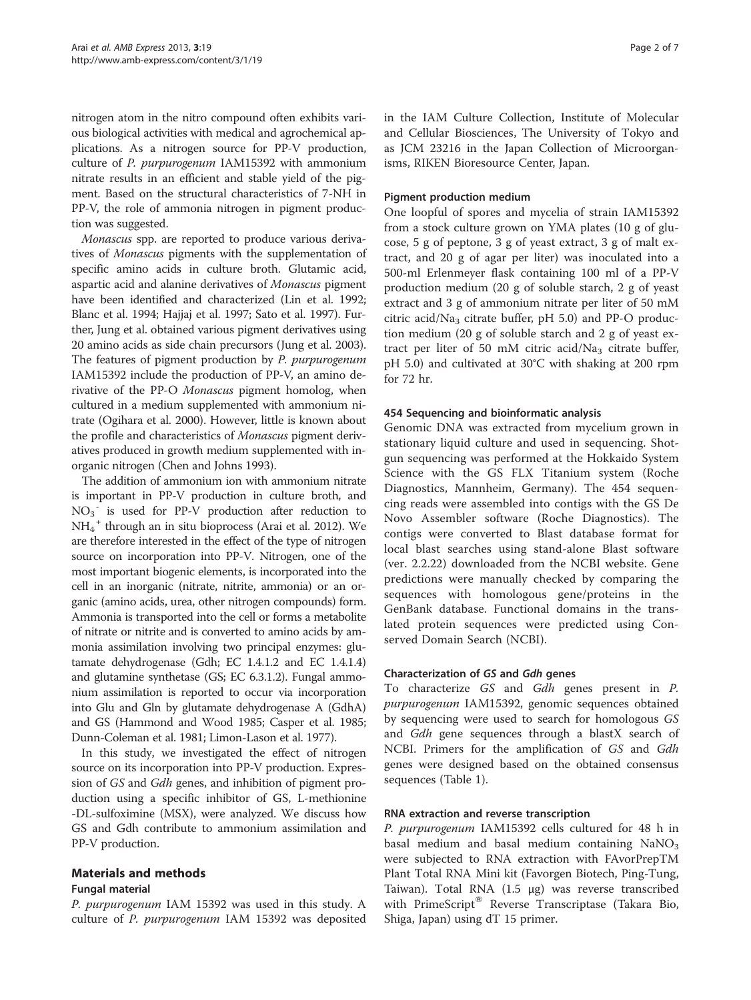nitrogen atom in the nitro compound often exhibits various biological activities with medical and agrochemical applications. As a nitrogen source for PP-V production, culture of P. purpurogenum IAM15392 with ammonium nitrate results in an efficient and stable yield of the pigment. Based on the structural characteristics of 7-NH in PP-V, the role of ammonia nitrogen in pigment production was suggested.

Monascus spp. are reported to produce various derivatives of Monascus pigments with the supplementation of specific amino acids in culture broth. Glutamic acid, aspartic acid and alanine derivatives of Monascus pigment have been identified and characterized (Lin et al. [1992](#page-6-0); Blanc et al. [1994;](#page-6-0) Hajjaj et al. [1997](#page-6-0); Sato et al. [1997\)](#page-6-0). Further, Jung et al. obtained various pigment derivatives using 20 amino acids as side chain precursors (Jung et al. [2003](#page-6-0)). The features of pigment production by P. purpurogenum IAM15392 include the production of PP-V, an amino derivative of the PP-O Monascus pigment homolog, when cultured in a medium supplemented with ammonium nitrate (Ogihara et al. [2000](#page-6-0)). However, little is known about the profile and characteristics of Monascus pigment derivatives produced in growth medium supplemented with inorganic nitrogen (Chen and Johns [1993](#page-6-0)).

The addition of ammonium ion with ammonium nitrate is important in PP-V production in culture broth, and NO3 - is used for PP-V production after reduction to NH4 <sup>+</sup> through an in situ bioprocess (Arai et al. [2012](#page-6-0)). We are therefore interested in the effect of the type of nitrogen source on incorporation into PP-V. Nitrogen, one of the most important biogenic elements, is incorporated into the cell in an inorganic (nitrate, nitrite, ammonia) or an organic (amino acids, urea, other nitrogen compounds) form. Ammonia is transported into the cell or forms a metabolite of nitrate or nitrite and is converted to amino acids by ammonia assimilation involving two principal enzymes: glutamate dehydrogenase (Gdh; EC 1.4.1.2 and EC 1.4.1.4) and glutamine synthetase (GS; EC 6.3.1.2). Fungal ammonium assimilation is reported to occur via incorporation into Glu and Gln by glutamate dehydrogenase A (GdhA) and GS (Hammond and Wood [1985;](#page-6-0) Casper et al. [1985](#page-6-0); Dunn-Coleman et al. [1981](#page-6-0); Limon-Lason et al. [1977](#page-6-0)).

In this study, we investigated the effect of nitrogen source on its incorporation into PP-V production. Expression of GS and Gdh genes, and inhibition of pigment production using a specific inhibitor of GS, L-methionine -DL-sulfoximine (MSX), were analyzed. We discuss how GS and Gdh contribute to ammonium assimilation and PP-V production.

## Materials and methods

#### Fungal material

P. purpurogenum IAM 15392 was used in this study. A culture of P. purpurogenum IAM 15392 was deposited in the IAM Culture Collection, Institute of Molecular and Cellular Biosciences, The University of Tokyo and as JCM 23216 in the Japan Collection of Microorganisms, RIKEN Bioresource Center, Japan.

### Pigment production medium

One loopful of spores and mycelia of strain IAM15392 from a stock culture grown on YMA plates (10 g of glucose, 5 g of peptone, 3 g of yeast extract, 3 g of malt extract, and 20 g of agar per liter) was inoculated into a 500-ml Erlenmeyer flask containing 100 ml of a PP-V production medium (20 g of soluble starch, 2 g of yeast extract and 3 g of ammonium nitrate per liter of 50 mM citric acid/Na<sub>3</sub> citrate buffer, pH 5.0) and PP-O production medium (20 g of soluble starch and 2 g of yeast extract per liter of 50 mM citric acid/Na<sub>3</sub> citrate buffer, pH 5.0) and cultivated at 30°C with shaking at 200 rpm for 72 hr.

#### 454 Sequencing and bioinformatic analysis

Genomic DNA was extracted from mycelium grown in stationary liquid culture and used in sequencing. Shotgun sequencing was performed at the Hokkaido System Science with the GS FLX Titanium system (Roche Diagnostics, Mannheim, Germany). The 454 sequencing reads were assembled into contigs with the GS De Novo Assembler software (Roche Diagnostics). The contigs were converted to Blast database format for local blast searches using stand-alone Blast software (ver. 2.2.22) downloaded from the NCBI website. Gene predictions were manually checked by comparing the sequences with homologous gene/proteins in the GenBank database. Functional domains in the translated protein sequences were predicted using Conserved Domain Search (NCBI).

#### Characterization of GS and Gdh genes

To characterize GS and Gdh genes present in P. purpurogenum IAM15392, genomic sequences obtained by sequencing were used to search for homologous GS and Gdh gene sequences through a blastX search of NCBI. Primers for the amplification of GS and Gdh genes were designed based on the obtained consensus sequences (Table [1\)](#page-2-0).

#### RNA extraction and reverse transcription

P. purpurogenum IAM15392 cells cultured for 48 h in basal medium and basal medium containing  $NaNO<sub>3</sub>$ were subjected to RNA extraction with FAvorPrepTM Plant Total RNA Mini kit (Favorgen Biotech, Ping-Tung, Taiwan). Total RNA (1.5 μg) was reverse transcribed with PrimeScript<sup>®</sup> Reverse Transcriptase (Takara Bio, Shiga, Japan) using dT 15 primer.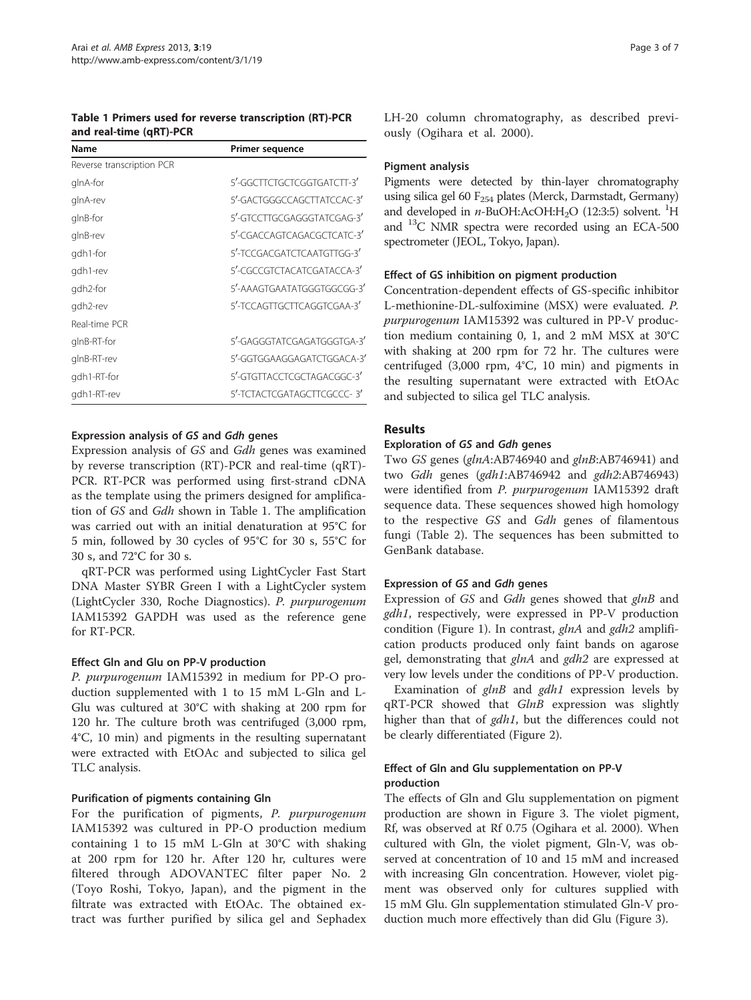<span id="page-2-0"></span>Table 1 Primers used for reverse transcription (RT)-PCR and real-time (qRT)-PCR

| Name                      | Primer sequence            |  |  |
|---------------------------|----------------------------|--|--|
| Reverse transcription PCR |                            |  |  |
| glnA-for                  | 5'-GGCTTCTGCTCGGTGATCTT-3' |  |  |
| glnA-rev                  | 5'-GACTGGGCCAGCTTATCCAC-3' |  |  |
| glnB-for                  | 5'-GTCCTTGCGAGGGTATCGAG-3' |  |  |
| glnB-rev                  | 5'-CGACCAGTCAGACGCTCATC-3' |  |  |
| gdh1-for                  | 5'-TCCGACGATCTCAATGTTGG-3' |  |  |
| gdh1-rev                  | 5'-CGCCGTCTACATCGATACCA-3' |  |  |
| gdh2-for                  | 5'-AAAGTGAATATGGGTGGCGG-3' |  |  |
| gdh2-rev                  | 5'-TCCAGTTGCTTCAGGTCGAA-3' |  |  |
| Real-time PCR             |                            |  |  |
| glnB-RT-for               | 5'-GAGGGTATCGAGATGGGTGA-3' |  |  |
| glnB-RT-rev               | 5'-GGTGGAAGGAGATCTGGACA-3' |  |  |
| gdh1-RT-for               | 5'-GTGTTACCTCGCTAGACGGC-3' |  |  |
| gdh1-RT-rev               | 5'-TCTACTCGATAGCTTCGCCC-3' |  |  |

#### Expression analysis of GS and Gdh genes

Expression analysis of GS and Gdh genes was examined by reverse transcription (RT)-PCR and real-time (qRT)- PCR. RT-PCR was performed using first-strand cDNA as the template using the primers designed for amplification of GS and Gdh shown in Table 1. The amplification was carried out with an initial denaturation at 95°C for 5 min, followed by 30 cycles of 95°C for 30 s, 55°C for 30 s, and 72°C for 30 s.

qRT-PCR was performed using LightCycler Fast Start DNA Master SYBR Green I with a LightCycler system (LightCycler 330, Roche Diagnostics). P. purpurogenum IAM15392 GAPDH was used as the reference gene for RT-PCR.

#### Effect Gln and Glu on PP-V production

P. purpurogenum IAM15392 in medium for PP-O production supplemented with 1 to 15 mM L-Gln and L-Glu was cultured at 30°C with shaking at 200 rpm for 120 hr. The culture broth was centrifuged (3,000 rpm, 4°C, 10 min) and pigments in the resulting supernatant were extracted with EtOAc and subjected to silica gel TLC analysis.

#### Purification of pigments containing Gln

For the purification of pigments, P. purpurogenum IAM15392 was cultured in PP-O production medium containing 1 to 15 mM L-Gln at 30°C with shaking at 200 rpm for 120 hr. After 120 hr, cultures were filtered through ADOVANTEC filter paper No. 2 (Toyo Roshi, Tokyo, Japan), and the pigment in the filtrate was extracted with EtOAc. The obtained extract was further purified by silica gel and Sephadex LH-20 column chromatography, as described previously (Ogihara et al. [2000\)](#page-6-0).

#### Pigment analysis

Pigments were detected by thin-layer chromatography using silica gel 60  $F_{254}$  plates (Merck, Darmstadt, Germany) and developed in  $n$ -BuOH:AcOH:H<sub>2</sub>O (12:3:5) solvent. <sup>1</sup>H and 13C NMR spectra were recorded using an ECA-500 spectrometer (JEOL, Tokyo, Japan).

#### Effect of GS inhibition on pigment production

Concentration-dependent effects of GS-specific inhibitor L-methionine-DL-sulfoximine (MSX) were evaluated. P. purpurogenum IAM15392 was cultured in PP-V production medium containing 0, 1, and 2 mM MSX at 30°C with shaking at 200 rpm for 72 hr. The cultures were centrifuged (3,000 rpm, 4°C, 10 min) and pigments in the resulting supernatant were extracted with EtOAc and subjected to silica gel TLC analysis.

#### Results

#### Exploration of GS and Gdh genes

Two GS genes (glnA:AB746940 and glnB:AB746941) and two Gdh genes (gdh1:AB746942 and gdh2:AB746943) were identified from P. purpurogenum IAM15392 draft sequence data. These sequences showed high homology to the respective GS and Gdh genes of filamentous fungi (Table [2](#page-3-0)). The sequences has been submitted to GenBank database.

#### Expression of GS and Gdh genes

Expression of GS and Gdh genes showed that glnB and gdh1, respectively, were expressed in PP-V production condition (Figure [1](#page-3-0)). In contrast, glnA and gdh2 amplification products produced only faint bands on agarose gel, demonstrating that glnA and gdh2 are expressed at very low levels under the conditions of PP-V production.

Examination of glnB and gdh1 expression levels by qRT-PCR showed that GlnB expression was slightly higher than that of gdh1, but the differences could not be clearly differentiated (Figure [2\)](#page-3-0).

#### Effect of Gln and Glu supplementation on PP-V production

The effects of Gln and Glu supplementation on pigment production are shown in Figure [3](#page-4-0). The violet pigment, Rf, was observed at Rf 0.75 (Ogihara et al. [2000\)](#page-6-0). When cultured with Gln, the violet pigment, Gln-V, was observed at concentration of 10 and 15 mM and increased with increasing Gln concentration. However, violet pigment was observed only for cultures supplied with 15 mM Glu. Gln supplementation stimulated Gln-V production much more effectively than did Glu (Figure [3\)](#page-4-0).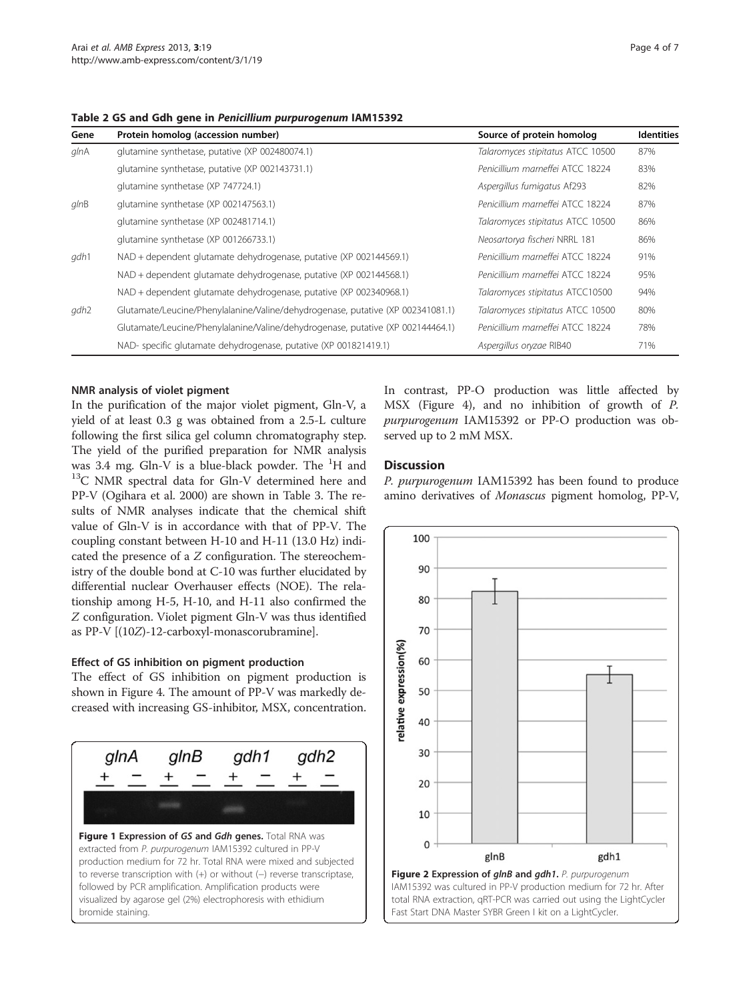<span id="page-3-0"></span>Table 2 GS and Gdh gene in Penicillium purpurogenum IAM15392

| Gene             | Protein homolog (accession number)                                              | Source of protein homolog         | <b>Identities</b> |
|------------------|---------------------------------------------------------------------------------|-----------------------------------|-------------------|
| $q$ In $A$       | glutamine synthetase, putative (XP 002480074.1)                                 | Talaromyces stipitatus ATCC 10500 | 87%               |
|                  | glutamine synthetase, putative (XP 002143731.1)                                 | Penicillium marneffei ATCC 18224  | 83%               |
|                  | glutamine synthetase (XP 747724.1)                                              | Aspergillus fumigatus Af293       | 82%               |
| $q$ $lnB$        | glutamine synthetase (XP 002147563.1)                                           | Penicillium marneffei ATCC 18224  | 87%               |
|                  | glutamine synthetase (XP 002481714.1)                                           | Talaromyces stipitatus ATCC 10500 | 86%               |
|                  | glutamine synthetase (XP 001266733.1)                                           | Neosartorya fischeri NRRL 181     | 86%               |
| gdh1             | NAD + dependent glutamate dehydrogenase, putative (XP 002144569.1)              | Penicillium marneffei ATCC 18224  | 91%               |
|                  | NAD + dependent glutamate dehydrogenase, putative (XP 002144568.1)              | Penicillium marneffei ATCC 18224  | 95%               |
|                  | NAD + dependent glutamate dehydrogenase, putative (XP 002340968.1)              | Talaromyces stipitatus ATCC10500  | 94%               |
| gdh <sub>2</sub> | Glutamate/Leucine/Phenylalanine/Valine/dehydrogenase, putative (XP 002341081.1) | Talaromyces stipitatus ATCC 10500 | 80%               |
|                  | Glutamate/Leucine/Phenylalanine/Valine/dehydrogenase, putative (XP 002144464.1) | Penicillium marneffei ATCC 18224  | 78%               |
|                  | NAD- specific glutamate dehydrogenase, putative (XP 001821419.1)                | Aspergillus oryzae RIB40          | 71%               |

#### NMR analysis of violet pigment

In the purification of the major violet pigment, Gln-V, a yield of at least 0.3 g was obtained from a 2.5-L culture following the first silica gel column chromatography step. The yield of the purified preparation for NMR analysis was 3.4 mg. Gln-V is a blue-black powder. The  $H$  and  $^{13}$ C NMR spectral data for Gln-V determined here and PP-V (Ogihara et al. [2000\)](#page-6-0) are shown in Table [3](#page-4-0). The results of NMR analyses indicate that the chemical shift value of Gln-V is in accordance with that of PP-V. The coupling constant between H-10 and H-11 (13.0 Hz) indicated the presence of a Z configuration. The stereochemistry of the double bond at C-10 was further elucidated by differential nuclear Overhauser effects (NOE). The relationship among H-5, H-10, and H-11 also confirmed the Z configuration. Violet pigment Gln-V was thus identified as PP-V [(10Z)-12-carboxyl-monascorubramine].

#### Effect of GS inhibition on pigment production

The effect of GS inhibition on pigment production is shown in Figure [4.](#page-5-0) The amount of PP-V was markedly decreased with increasing GS-inhibitor, MSX, concentration.



In contrast, PP-O production was little affected by MSX (Figure [4\)](#page-5-0), and no inhibition of growth of P. purpurogenum IAM15392 or PP-O production was observed up to 2 mM MSX.

#### **Discussion**

P. purpurogenum IAM15392 has been found to produce amino derivatives of Monascus pigment homolog, PP-V,

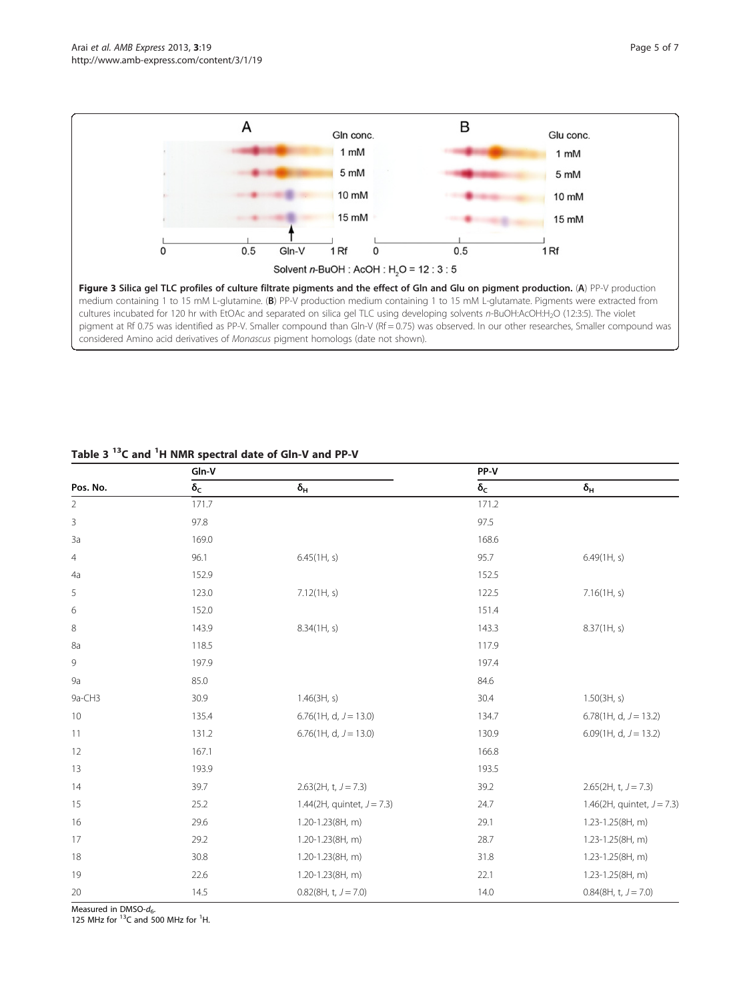<span id="page-4-0"></span>

|                           | Gln-V             |                               | PP-V              |                               |
|---------------------------|-------------------|-------------------------------|-------------------|-------------------------------|
| Pos. No.                  | $\delta_\text{C}$ | $\delta_{\mathsf{H}}$         | $\delta_\text{C}$ | $\delta_{\mathsf{H}}$         |
| $\overline{2}$            | 171.7             |                               | 171.2             |                               |
| $\ensuremath{\mathsf{3}}$ | 97.8              |                               | 97.5              |                               |
| 3a                        | 169.0             |                               | 168.6             |                               |
| $\overline{4}$            | 96.1              | 6.45(1H, s)                   | 95.7              | 6.49(1H, s)                   |
| 4a                        | 152.9             |                               | 152.5             |                               |
| 5                         | 123.0             | 7.12(1H, s)                   | 122.5             | 7.16(1H, s)                   |
| 6                         | 152.0             |                               | 151.4             |                               |
| 8                         | 143.9             | 8.34(1H, s)                   | 143.3             | 8.37(1H, s)                   |
| 8a                        | 118.5             |                               | 117.9             |                               |
| 9                         | 197.9             |                               | 197.4             |                               |
| <b>9a</b>                 | 85.0              |                               | 84.6              |                               |
| 9a-CH3                    | 30.9              | 1.46(3H, s)                   | 30.4              | 1.50(3H, s)                   |
| 10                        | 135.4             | 6.76 $(1H, d, J = 13.0)$      | 134.7             | 6.78(1H, d, $J = 13.2$ )      |
| 11                        | 131.2             | 6.76(1H, d, $J = 13.0$ )      | 130.9             | 6.09(1H, d, $J = 13.2$ )      |
| 12                        | 167.1             |                               | 166.8             |                               |
| 13                        | 193.9             |                               | 193.5             |                               |
| 14                        | 39.7              | $2.63(2H, t, J = 7.3)$        | 39.2              | $2.65(2H, t, J = 7.3)$        |
| 15                        | 25.2              | 1.44(2H, quintet, $J = 7.3$ ) | 24.7              | 1.46(2H, quintet, $J = 7.3$ ) |
| 16                        | 29.6              | 1.20-1.23(8H, m)              | 29.1              | 1.23-1.25(8H, m)              |
| 17                        | 29.2              | 1.20-1.23(8H, m)              | 28.7              | 1.23-1.25(8H, m)              |
| 18                        | 30.8              | 1.20-1.23(8H, m)              | 31.8              | 1.23-1.25(8H, m)              |
| 19                        | 22.6              | 1.20-1.23(8H, m)              | 22.1              | 1.23-1.25(8H, m)              |
| 20                        | 14.5              | $0.82(8H, t, J = 7.0)$        | 14.0              | $0.84(8H, t, J = 7.0)$        |

## Table 3 <sup>13</sup>C and <sup>1</sup>H NMR spectral date of Gln-V and PP-V

Measured in DMSO- $d_6$ .

125 MHz for  $^{13}$ C and 500 MHz for <sup>1</sup>H.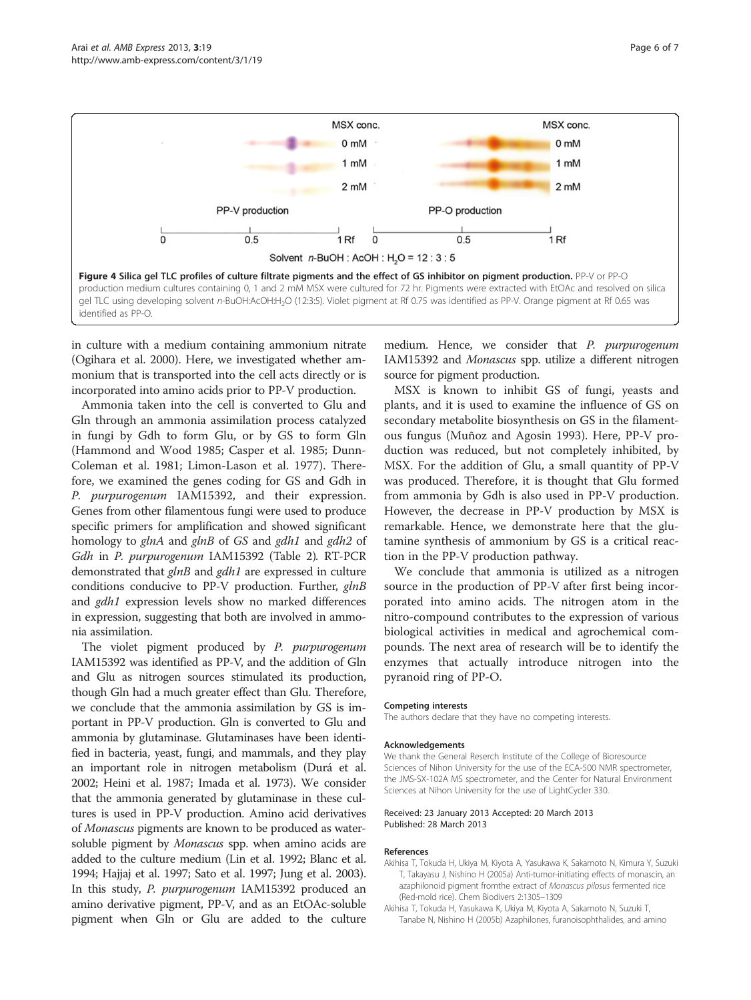<span id="page-5-0"></span>

in culture with a medium containing ammonium nitrate (Ogihara et al. [2000](#page-6-0)). Here, we investigated whether ammonium that is transported into the cell acts directly or is incorporated into amino acids prior to PP-V production.

Ammonia taken into the cell is converted to Glu and Gln through an ammonia assimilation process catalyzed in fungi by Gdh to form Glu, or by GS to form Gln (Hammond and Wood [1985;](#page-6-0) Casper et al. [1985;](#page-6-0) Dunn-Coleman et al. [1981;](#page-6-0) Limon-Lason et al. [1977](#page-6-0)). Therefore, we examined the genes coding for GS and Gdh in P. purpurogenum IAM15392, and their expression. Genes from other filamentous fungi were used to produce specific primers for amplification and showed significant homology to glnA and glnB of GS and gdh1 and gdh2 of Gdh in P. purpurogenum IAM15392 (Table [2\)](#page-3-0). RT-PCR demonstrated that glnB and gdh1 are expressed in culture conditions conducive to PP-V production. Further, glnB and gdh1 expression levels show no marked differences in expression, suggesting that both are involved in ammonia assimilation.

The violet pigment produced by P. purpurogenum IAM15392 was identified as PP-V, and the addition of Gln and Glu as nitrogen sources stimulated its production, though Gln had a much greater effect than Glu. Therefore, we conclude that the ammonia assimilation by GS is important in PP-V production. Gln is converted to Glu and ammonia by glutaminase. Glutaminases have been identified in bacteria, yeast, fungi, and mammals, and they play an important role in nitrogen metabolism (Durá et al. [2002;](#page-6-0) Heini et al. [1987](#page-6-0); Imada et al. [1973\)](#page-6-0). We consider that the ammonia generated by glutaminase in these cultures is used in PP-V production. Amino acid derivatives of Monascus pigments are known to be produced as watersoluble pigment by Monascus spp. when amino acids are added to the culture medium (Lin et al. [1992](#page-6-0); Blanc et al. [1994;](#page-6-0) Hajjaj et al. [1997](#page-6-0); Sato et al. [1997;](#page-6-0) Jung et al. [2003](#page-6-0)). In this study, P. purpurogenum IAM15392 produced an amino derivative pigment, PP-V, and as an EtOAc-soluble pigment when Gln or Glu are added to the culture

medium. Hence, we consider that P. purpurogenum IAM15392 and Monascus spp. utilize a different nitrogen source for pigment production.

MSX is known to inhibit GS of fungi, yeasts and plants, and it is used to examine the influence of GS on secondary metabolite biosynthesis on GS in the filamentous fungus (Muñoz and Agosin [1993](#page-6-0)). Here, PP-V production was reduced, but not completely inhibited, by MSX. For the addition of Glu, a small quantity of PP-V was produced. Therefore, it is thought that Glu formed from ammonia by Gdh is also used in PP-V production. However, the decrease in PP-V production by MSX is remarkable. Hence, we demonstrate here that the glutamine synthesis of ammonium by GS is a critical reaction in the PP-V production pathway.

We conclude that ammonia is utilized as a nitrogen source in the production of PP-V after first being incorporated into amino acids. The nitrogen atom in the nitro-compound contributes to the expression of various biological activities in medical and agrochemical compounds. The next area of research will be to identify the enzymes that actually introduce nitrogen into the pyranoid ring of PP-O.

#### Competing interests

The authors declare that they have no competing interests.

#### Acknowledgements

We thank the General Reserch Institute of the College of Bioresource Sciences of Nihon University for the use of the ECA-500 NMR spectrometer, the JMS-SX-102A MS spectrometer, and the Center for Natural Environment Sciences at Nihon University for the use of LightCycler 330.

#### Received: 23 January 2013 Accepted: 20 March 2013 Published: 28 March 2013

#### References

- Akihisa T, Tokuda H, Ukiya M, Kiyota A, Yasukawa K, Sakamoto N, Kimura Y, Suzuki T, Takayasu J, Nishino H (2005a) Anti-tumor-initiating effects of monascin, an azaphilonoid pigment fromthe extract of Monascus pilosus fermented rice (Red-mold rice). Chem Biodivers 2:1305–1309
- Akihisa T, Tokuda H, Yasukawa K, Ukiya M, Kiyota A, Sakamoto N, Suzuki T, Tanabe N, Nishino H (2005b) Azaphilones, furanoisophthalides, and amino